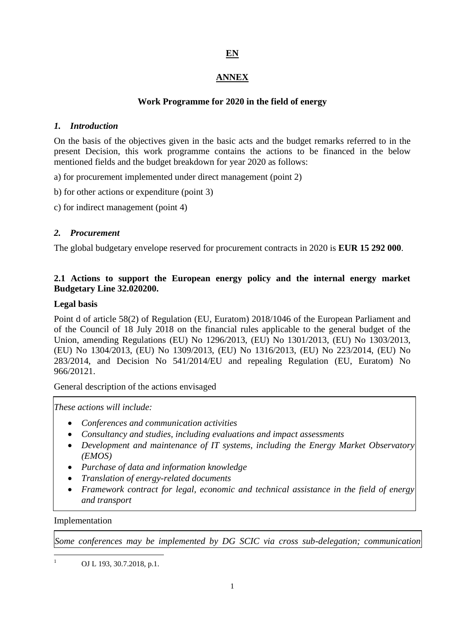# **EN**

## **ANNEX**

## **Work Programme for 2020 in the field of energy**

### *1. Introduction*

On the basis of the objectives given in the basic acts and the budget remarks referred to in the present Decision, this work programme contains the actions to be financed in the below mentioned fields and the budget breakdown for year 2020 as follows:

a) for procurement implemented under direct management (point 2)

b) for other actions or expenditure (point 3)

c) for indirect management (point 4)

## *2. Procurement*

The global budgetary envelope reserved for procurement contracts in 2020 is **EUR 15 292 000**.

## **2.1 Actions to support the European energy policy and the internal energy market Budgetary Line 32.020200.**

### **Legal basis**

Point d of article 58(2) of Regulation (EU, Euratom) 2018/1046 of the European Parliament and of the Council of 18 July 2018 on the financial rules applicable to the general budget of the Union, amending Regulations (EU) No 1296/2013, (EU) No 1301/2013, (EU) No 1303/2013, (EU) No 1304/2013, (EU) No 1309/2013, (EU) No 1316/2013, (EU) No 223/2014, (EU) No 283/2014, and Decision No 541/2014/EU and repealing Regulation (EU, Euratom) No 966/20121.

General description of the actions envisaged

*These actions will include:*

- *Conferences and communication activities*
- *Consultancy and studies, including evaluations and impact assessments*
- *Development and maintenance of IT systems, including the Energy Market Observatory (EMOS)*
- *Purchase of data and information knowledge*
- *Translation of energy-related documents*
- *Framework contract for legal, economic and technical assistance in the field of energy and transport*

Implementation

1 1

*Some conferences may be implemented by DG SCIC via cross sub-delegation; communication* 

OJ L 193, 30.7.2018, p.1.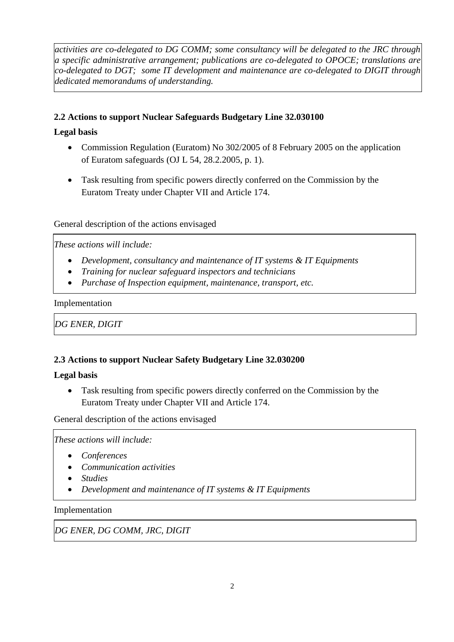*activities are co-delegated to DG COMM; some consultancy will be delegated to the JRC through a specific administrative arrangement; publications are co-delegated to OPOCE; translations are co-delegated to DGT; some IT development and maintenance are co-delegated to DIGIT through dedicated memorandums of understanding.*

### **2.2 Actions to support Nuclear Safeguards Budgetary Line 32.030100**

### **Legal basis**

- Commission Regulation (Euratom) No 302/2005 of 8 February 2005 on the application of Euratom safeguards (OJ L 54, 28.2.2005, p. 1).
- Task resulting from specific powers directly conferred on the Commission by the Euratom Treaty under Chapter VII and Article 174.

### General description of the actions envisaged

*These actions will include:*

- *Development, consultancy and maintenance of IT systems & IT Equipments*
- *Training for nuclear safeguard inspectors and technicians*
- *Purchase of Inspection equipment, maintenance, transport, etc.*

### Implementation

*DG ENER, DIGIT* 

### **2.3 Actions to support Nuclear Safety Budgetary Line 32.030200**

### **Legal basis**

 Task resulting from specific powers directly conferred on the Commission by the Euratom Treaty under Chapter VII and Article 174.

General description of the actions envisaged

*These actions will include:*

- *Conferences*
- *Communication activities*
- *Studies*
- *Development and maintenance of IT systems & IT Equipments*

Implementation

*DG ENER, DG COMM, JRC, DIGIT*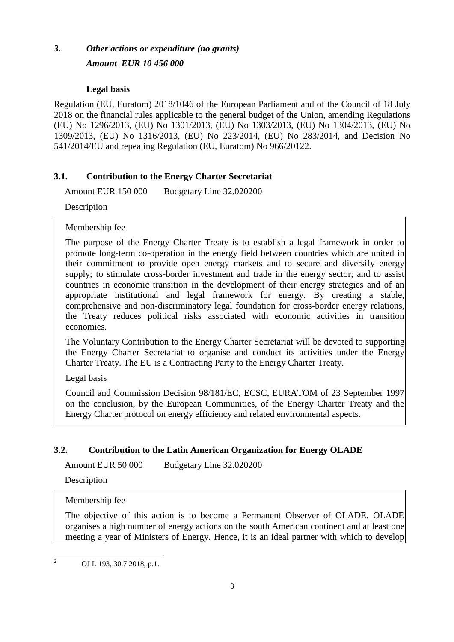# *3. Other actions or expenditure (no grants) Amount EUR 10 456 000*

## **Legal basis**

Regulation (EU, Euratom) 2018/1046 of the European Parliament and of the Council of 18 July 2018 on the financial rules applicable to the general budget of the Union, amending Regulations (EU) No 1296/2013, (EU) No 1301/2013, (EU) No 1303/2013, (EU) No 1304/2013, (EU) No 1309/2013, (EU) No 1316/2013, (EU) No 223/2014, (EU) No 283/2014, and Decision No 541/2014/EU and repealing Regulation (EU, Euratom) No 966/20122.

# **3.1. Contribution to the Energy Charter Secretariat**

Amount EUR 150 000 Budgetary Line 32.020200

Description

Membership fee

The purpose of the Energy Charter Treaty is to establish a legal framework in order to promote long-term co-operation in the energy field between countries which are united in their commitment to provide open energy markets and to secure and diversify energy supply; to stimulate cross-border investment and trade in the energy sector; and to assist countries in economic transition in the development of their energy strategies and of an appropriate institutional and legal framework for energy. By creating a stable, comprehensive and non-discriminatory legal foundation for cross-border energy relations, the Treaty reduces political risks associated with economic activities in transition economies.

The Voluntary Contribution to the Energy Charter Secretariat will be devoted to supporting the Energy Charter Secretariat to organise and conduct its activities under the Energy Charter Treaty. The EU is a Contracting Party to the Energy Charter Treaty.

Legal basis

Council and Commission Decision 98/181/EC, ECSC, EURATOM of 23 September 1997 on the conclusion, by the European Communities, of the Energy Charter Treaty and the Energy Charter protocol on energy efficiency and related environmental aspects.

# **3.2. Contribution to the Latin American Organization for Energy OLADE**

Amount EUR 50 000 Budgetary Line 32.020200

Description

Membership fee

The objective of this action is to become a Permanent Observer of OLADE. OLADE organises a high number of energy actions on the south American continent and at least one meeting a year of Ministers of Energy. Hence, it is an ideal partner with which to develop

 $\frac{1}{2}$ OJ L 193, 30.7.2018, p.1.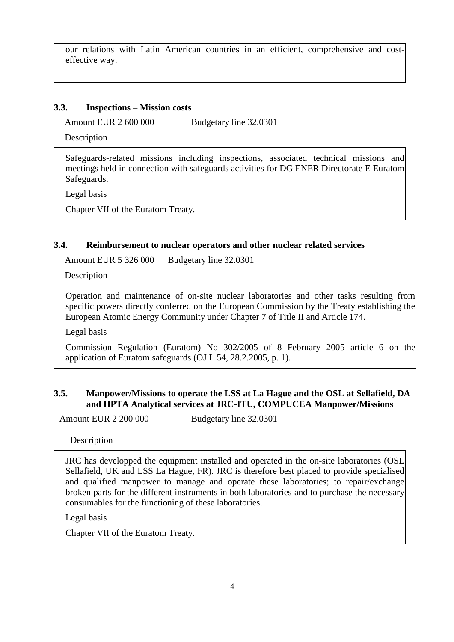our relations with Latin American countries in an efficient, comprehensive and costeffective way.

#### **3.3. Inspections – Mission costs**

Amount EUR 2 600 000 Budgetary line 32.0301

Description

Safeguards-related missions including inspections, associated technical missions and meetings held in connection with safeguards activities for DG ENER Directorate E Euratom Safeguards.

Legal basis

Chapter VII of the Euratom Treaty.

### **3.4. Reimbursement to nuclear operators and other nuclear related services**

Amount EUR 5 326 000 Budgetary line 32.0301

Description

Operation and maintenance of on-site nuclear laboratories and other tasks resulting from specific powers directly conferred on the European Commission by the Treaty establishing the European Atomic Energy Community under Chapter 7 of Title II and Article 174.

Legal basis

Commission Regulation (Euratom) No 302/2005 of 8 February 2005 article 6 on the application of Euratom safeguards (OJ L 54, 28.2.2005, p. 1).

### **3.5. Manpower/Missions to operate the LSS at La Hague and the OSL at Sellafield, DA and HPTA Analytical services at JRC-ITU, COMPUCEA Manpower/Missions**

Amount EUR 2 200 000 Budgetary line 32.0301

**Description** 

JRC has developped the equipment installed and operated in the on-site laboratories (OSL Sellafield, UK and LSS La Hague, FR). JRC is therefore best placed to provide specialised and qualified manpower to manage and operate these laboratories; to repair/exchange broken parts for the different instruments in both laboratories and to purchase the necessary consumables for the functioning of these laboratories.

Legal basis

Chapter VII of the Euratom Treaty.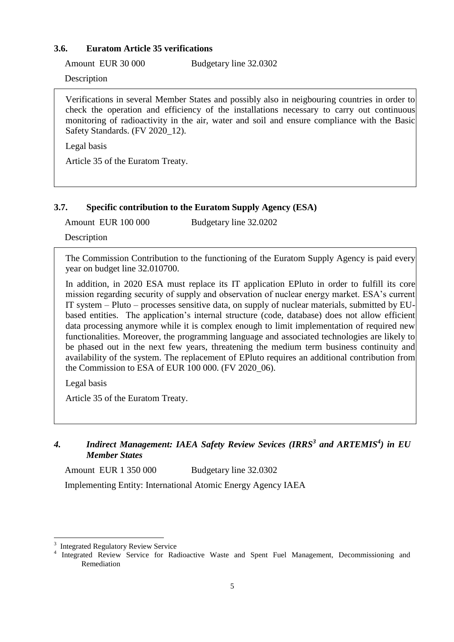### **3.6. Euratom Article 35 verifications**

Amount EUR 30 000 Budgetary line 32.0302

Description

Verifications in several Member States and possibly also in neigbouring countries in order to check the operation and efficiency of the installations necessary to carry out continuous monitoring of radioactivity in the air, water and soil and ensure compliance with the Basic Safety Standards. (FV 2020\_12).

Legal basis

Article 35 of the Euratom Treaty.

### **3.7. Specific contribution to the Euratom Supply Agency (ESA)**

Amount EUR 100 000 Budgetary line 32.0202

Description

The Commission Contribution to the functioning of the Euratom Supply Agency is paid every year on budget line 32.010700.

In addition, in 2020 ESA must replace its IT application EPluto in order to fulfill its core mission regarding security of supply and observation of nuclear energy market. ESA's current IT system – Pluto – processes sensitive data, on supply of nuclear materials, submitted by EUbased entities. The application's internal structure (code, database) does not allow efficient data processing anymore while it is complex enough to limit implementation of required new functionalities. Moreover, the programming language and associated technologies are likely to be phased out in the next few years, threatening the medium term business continuity and availability of the system. The replacement of EPluto requires an additional contribution from the Commission to ESA of EUR 100 000. (FV 2020\_06).

Legal basis

1

Article 35 of the Euratom Treaty.

# *4. Indirect Management: IAEA Safety Review Sevices (IRRS<sup>3</sup> and ARTEMIS<sup>4</sup> ) in EU Member States*

Amount EUR 1 350 000 Budgetary line 32.0302

Implementing Entity: International Atomic Energy Agency IAEA

<sup>3</sup> Integrated Regulatory Review Service

<sup>4</sup> Integrated Review Service for Radioactive Waste and Spent Fuel Management, Decommissioning and Remediation